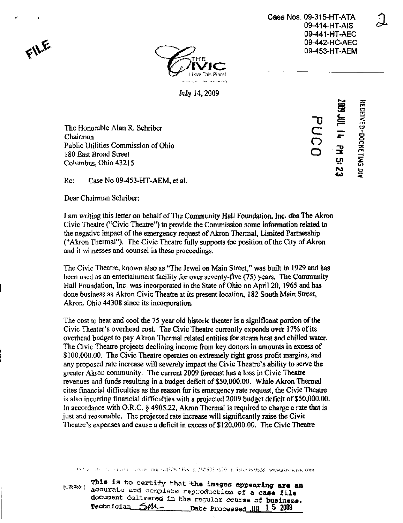Case Nos. 09-315-HT-ATA 09-414-HT-AIS 09-441-HT-AEC 09-442-HC-AEC 09-453-HT-AEM

ol

s ^

en a::

XECEIVED-DOCKETING DIN<br>1009 JUL 14 PM 5: 23<br>PUCO

 $k_{\rm F}$ 



July 14.2009

The Honorable Alan R. Schriber<br>Chairman  $\sum_{n=1}^{\infty}$   $\sum_{n=1}^{\infty}$   $\sum_{n=1}^{\infty}$   $\sum_{n=1}^{\infty}$   $\sum_{n=1}^{\infty}$   $\sum_{n=1}^{\infty}$ Public Utilities Commission of Ohio<br>180 East Broad Street  $180$  East Broad Street  $\Box$ Columbus, Ohio 43215

Re: Case No 09-453-HT-AEM, et al.

Dear Chairman Schriber:

I am writing this letter on behalf of The Community Hall Foundaticm, Inc. dba The Akron Civic Theatre ("Civic Theatre") to provide the Commission some information related to the negative impact of the emergency request of Akron Thermal, Limited Partnership ("Akron Thermal"). The Civic Theatre fully supports the position of the City of Akron and it witnesses and counsel in these proceedings.

The Civic Theatre, known also as 'The Jewel on Main Street," was buih in 1929 and has been used as an entertainment facility for over seventy-five (75) years. The Community Hall Foundation, Inc. was incorporated in the State of Ohio on April 20,1965 and has done business as Akron Civic Theatre at its present location, 182 South Main Street, Akron, Ohio 44308 since its incorporation.

The cost to heat and cool the 75 year old historic theater is a significant portion of the Civic Theater's overhead cost. The Civic Theatre currently expends over 17% of its overhead budget to pay Akron Thermal related entities for steam heat and chilled water. The Civic Theatre projects declining income from key donors in amounts in excess of \$100,000.00. The Civic Theatre operates on extremely tight gross profit margins, and any proposed rate increase will severely impact the Civic Theatre's ability to serve the greater Akron community. The current 2009 forecast has a loss in Civic Theatre revenues and funds resulting in a budget deficit of \$50,000.00. While Akron Thermal cites financial difficulties as the reason for its emergency rate request, the Civic Theatre is also incurring financial difficulties with a projected  $2009$  budget deficit of  $$50,000.00$ . In accordance with O.R.C. § 4905.22, Akron Thermal is required to charge a rate that is just and reasonable. The projected rate increase will significantly raise the Civic Theatre's expenses and cause a deficit in excess of \$120,000.00. The Civic Theatre

 $U^{1/2}$  =  $10^{11}$   $\approx$  44 H = 48 KeV. Out  $443284368$ , R 33553,  $479^{\circ}$  E 3365  $9.9828$  www.akronervit.com

This is to certify that the images appearing are an accurate and complete reproduction of a case file document delivered in the regular course of business. Technician  $5/M$  Date Processed JUL 1 5 2009